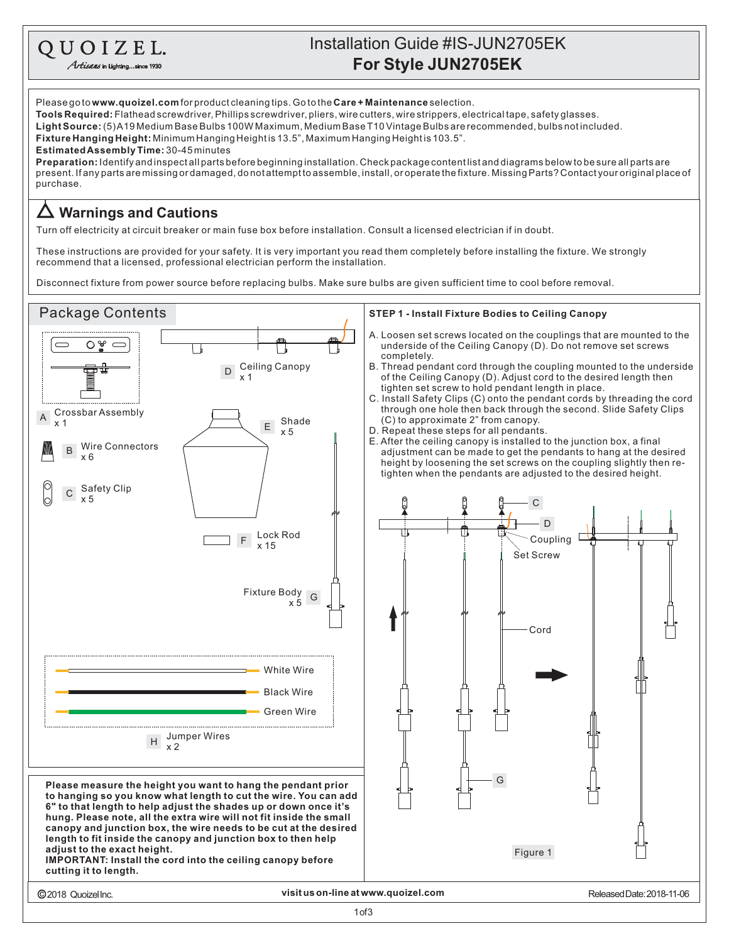## **For Style JUN2705EK** Installation Guide #IS-JUN2705EK

Please go to **www.quoizel.com** for product cleaning tips. Go to the **Care + Maintenance** selection. **Tools Required:** Flathead screwdriver, Phillips screwdriver, pliers, wire cutters, wire strippers, electrical tape, safety glasses. **Fixture Hanging Height:** Minimum Hanging Heightis 13.5", Maximum Hanging Heightis 103.5". present. If any parts are missing or damaged, do not attempt to assemble, install, or operate the fixture. Missing Parts? Contact your original place of purchase. **LightSource:** (5)A19MediumBaseBulbs100WMaximum,MediumBaseT10VintageBulbsarerecommended,bulbsnotincluded. **EstimatedAssemblyTime:** 30-45minutes **Preparation:** Identifyandinspectallpartsbeforebeginninginstallation.Checkpackagecontentlistanddiagramsbelowtobesureallpartsare

## **Warnings and Cautions**

QUOIZEL. Artisans in Lighting...since 1930

Turn off electricity at circuit breaker or main fuse box before installation. Consult a licensed electrician if in doubt.

These instructions are provided for your safety. It is very important you read them completely before installing the fixture. We strongly recommend that a licensed, professional electrician perform the installation.

Disconnect fixture from power source before replacing bulbs. Make sure bulbs are given sufficient time to cool before removal.

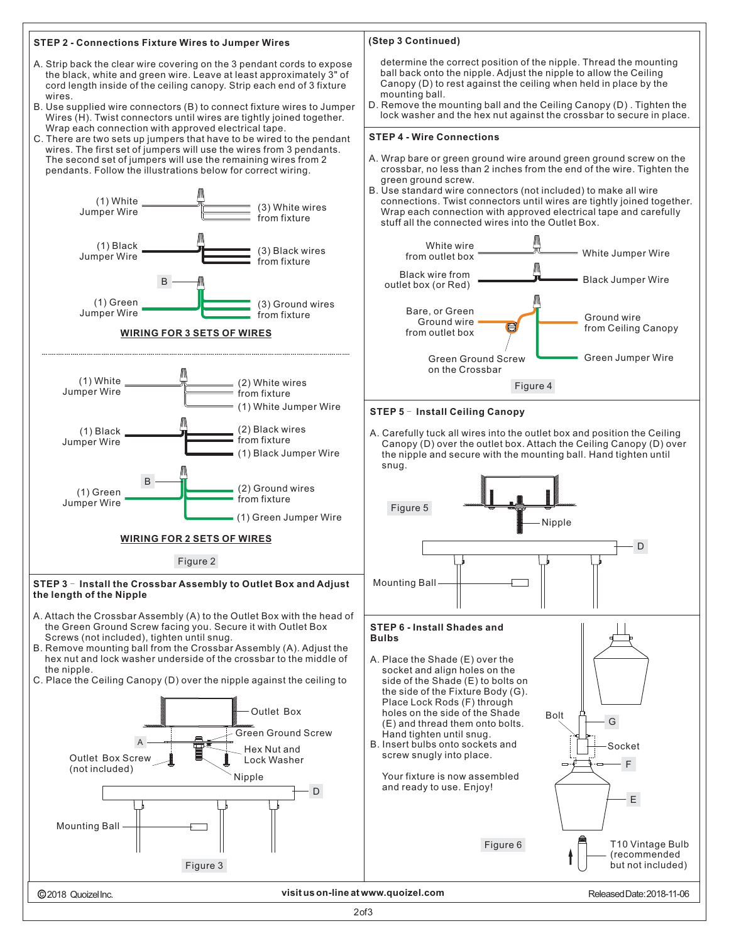